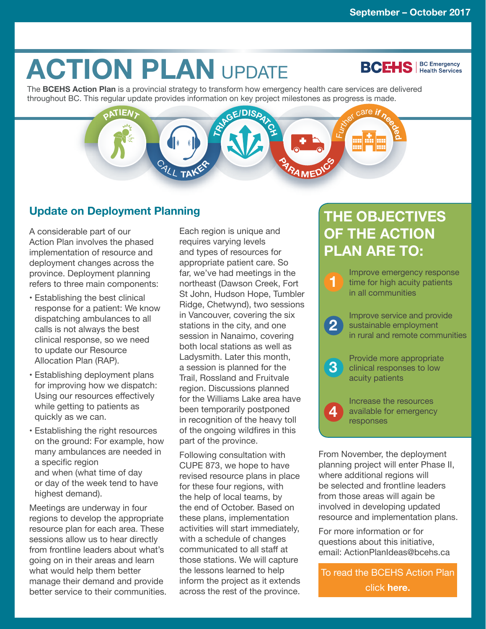# **ACTION PLAN UPDATE**

**BCEHS** | BC Emergency

The **BCEHS Action Plan** is a provincial strategy to transform how emergency health care services are delivered throughout BC. This regular update provides information on key project milestones as progress is made.



#### **Update on Deployment Planning**

A considerable part of our Action Plan involves the phased implementation of resource and deployment changes across the province. Deployment planning refers to three main components:

- Establishing the best clinical response for a patient: We know dispatching ambulances to all calls is not always the best clinical response, so we need to update our Resource Allocation Plan (RAP).
- Establishing deployment plans for improving how we dispatch: Using our resources effectively while getting to patients as quickly as we can.
- Establishing the right resources on the ground: For example, how many ambulances are needed in a specific region and when (what time of day or day of the week tend to have highest demand).

Meetings are underway in four regions to develop the appropriate resource plan for each area. These sessions allow us to hear directly from frontline leaders about what's going on in their areas and learn what would help them better manage their demand and provide better service to their communities.

Each region is unique and requires varying levels and types of resources for appropriate patient care. So far, we've had meetings in the northeast (Dawson Creek, Fort St John, Hudson Hope, Tumbler Ridge, Chetwynd), two sessions in Vancouver, covering the six stations in the city, and one session in Nanaimo, covering both local stations as well as Ladysmith. Later this month, a session is planned for the Trail, Rossland and Fruitvale region. Discussions planned for the Williams Lake area have been temporarily postponed in recognition of the heavy toll of the ongoing wildfires in this part of the province.

Following consultation with CUPE 873, we hope to have revised resource plans in place for these four regions, with the help of local teams, by the end of October. Based on these plans, implementation activities will start immediately, with a schedule of changes communicated to all staff at those stations. We will capture the lessons learned to help inform the project as it extends across the rest of the province.

### **THE OBJECTIVES OF THE ACTION PLAN ARE TO:**



From November, the deployment planning project will enter Phase II, where additional regions will be selected and frontline leaders from those areas will again be involved in developing updated resource and implementation plans.

For more information or for questions about this initiative, email: [ActionPlanIdeas@bcehs.ca](mailto:ActionPlanIdeas%40bcehs.ca?subject=Info) 

To read the BCEHS Action Plan click **[here.](http://www.bcehs.ca/about-site/Documents/transforming-emergency-health-services-action-plan.pdf)**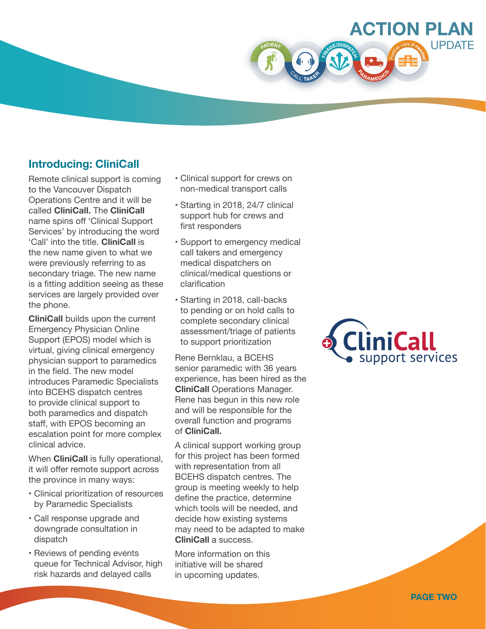

#### **Introducing: CliniCall**

Remote clinical support is coming to the Vancouver Dispatch Operations Centre and it will be called **CliniCall.** The **CliniCall**  name spins off 'Clinical Support Services' by introducing the word 'Call' into the title. **CliniCall** is the new name given to what we were previously referring to as secondary triage. The new name is a fitting addition seeing as these services are largely provided over the phone.

**CliniCall** builds upon the current Emergency Physician Online Support (EPOS) model which is virtual, giving clinical emergency physician support to paramedics in the field. The new model introduces Paramedic Specialists into BCEHS dispatch centres to provide clinical support to both paramedics and dispatch staff, with EPOS becoming an escalation point for more complex clinical advice.

When **CliniCall** is fully operational, it will offer remote support across the province in many ways:

- Clinical prioritization of resources by Paramedic Specialists
- Call response upgrade and downgrade consultation in dispatch
- Reviews of pending events queue for Technical Advisor, high risk hazards and delayed calls
- Clinical support for crews on non-medical transport calls
- Starting in 2018, 24/7 clinical support hub for crews and first responders
- Support to emergency medical call takers and emergency medical dispatchers on clinical/medical questions or clarification
- Starting in 2018, call-backs to pending or on hold calls to complete secondary clinical assessment/triage of patients to support prioritization

Rene Bernklau, a BCEHS senior paramedic with 36 years experience, has been hired as the **CliniCall** Operations Manager. Rene has begun in this new role and will be responsible for the overall function and programs of **CliniCall.**

A clinical support working group for this project has been formed with representation from all BCEHS dispatch centres. The group is meeting weekly to help define the practice, determine which tools will be needed, and decide how existing systems may need to be adapted to make **CliniCall** a success.

More information on this initiative will be shared in upcoming updates.

## **CliniCall** support services

**PAGE TWO**